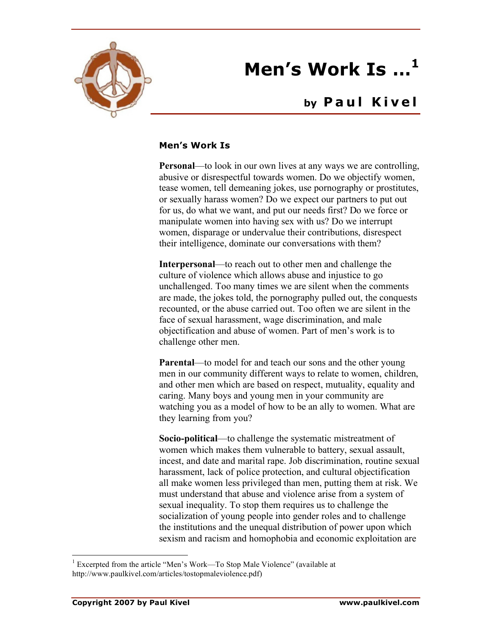

## **Men's Work Is …<sup>1</sup>**

## **by Paul Kivel**

## **Men's Work Is**

**Personal—to** look in our own lives at any ways we are controlling, abusive or disrespectful towards women. Do we objectify women, tease women, tell demeaning jokes, use pornography or prostitutes, or sexually harass women? Do we expect our partners to put out for us, do what we want, and put our needs first? Do we force or manipulate women into having sex with us? Do we interrupt women, disparage or undervalue their contributions, disrespect their intelligence, dominate our conversations with them?

**Interpersonal**—to reach out to other men and challenge the culture of violence which allows abuse and injustice to go unchallenged. Too many times we are silent when the comments are made, the jokes told, the pornography pulled out, the conquests recounted, or the abuse carried out. Too often we are silent in the face of sexual harassment, wage discrimination, and male objectification and abuse of women. Part of men's work is to challenge other men.

**Parental—to model for and teach our sons and the other young** men in our community different ways to relate to women, children, and other men which are based on respect, mutuality, equality and caring. Many boys and young men in your community are watching you as a model of how to be an ally to women. What are they learning from you?

**Socio-political**—to challenge the systematic mistreatment of women which makes them vulnerable to battery, sexual assault, incest, and date and marital rape. Job discrimination, routine sexual harassment, lack of police protection, and cultural objectification all make women less privileged than men, putting them at risk. We must understand that abuse and violence arise from a system of sexual inequality. To stop them requires us to challenge the socialization of young people into gender roles and to challenge the institutions and the unequal distribution of power upon which sexism and racism and homophobia and economic exploitation are

 $\frac{1}{1}$  $1$  Excerpted from the article "Men's Work—To Stop Male Violence" (available at http://www.paulkivel.com/articles/tostopmaleviolence.pdf)